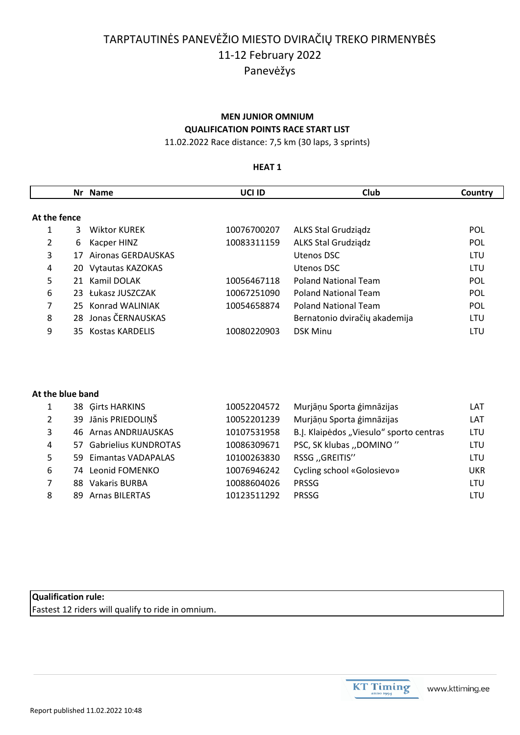# TARPTAUTINĖS PANEVĖŽIO MIESTO DVIRAČIŲ TREKO PIRMENYBĖS 11-12 February 2022 Panevėžys

### **MEN JUNIOR OMNIUM QUALIFICATION POINTS RACE START LIST**

11.02.2022 Race distance: 7,5 km (30 laps, 3 sprints)

### **HEAT 1**

|              |    | Nr Name             | UCI ID      | Club                          | Country    |
|--------------|----|---------------------|-------------|-------------------------------|------------|
| At the fence |    |                     |             |                               |            |
|              | 3  | <b>Wiktor KUREK</b> | 10076700207 | ALKS Stal Grudziądz           | <b>POL</b> |
| 2            | 6  | Kacper HINZ         | 10083311159 | <b>ALKS Stal Grudziadz</b>    | <b>POL</b> |
| 3            | 17 | Aironas GERDAUSKAS  |             | Utenos DSC                    | LTU        |
| 4            |    | 20 Vytautas KAZOKAS |             | Utenos DSC                    | LTU        |
| 5            |    | 21 Kamil DOLAK      | 10056467118 | <b>Poland National Team</b>   | <b>POL</b> |
| 6            |    | 23 Łukasz JUSZCZAK  | 10067251090 | <b>Poland National Team</b>   | <b>POL</b> |
| 7            |    | 25 Konrad WALINIAK  | 10054658874 | <b>Poland National Team</b>   | <b>POL</b> |
| 8            |    | 28 Jonas ČERNAUSKAS |             | Bernatonio dviračių akademija | LTU        |
| 9            |    | 35 Kostas KARDELIS  | 10080220903 | <b>DSK Minu</b>               | LTU        |

### **At the blue band**

|   | 38 Girts HARKINS        | 10052204572 | Murjāņu Sporta ģimnāzijas               | LAT |
|---|-------------------------|-------------|-----------------------------------------|-----|
| 2 | 39 Jānis PRIEDOLIŅŠ     | 10052201239 | Murjāņu Sporta ģimnāzijas               | LAT |
| 3 | 46 Arnas ANDRIJAUSKAS   | 10107531958 | B.J. Klaipėdos "Viesulo" sporto centras | LTU |
| 4 | 57 Gabrielius KUNDROTAS | 10086309671 | PSC, SK klubas "DOMINO"                 | LTU |
| 5 | 59 Eimantas VADAPALAS   | 10100263830 | RSSG "GREITIS"                          | LTU |
| 6 | 74 Leonid FOMENKO       | 10076946242 | Cycling school «Golosievo»              | UKR |
|   | Vakaris BURBA<br>88.    | 10088604026 | <b>PRSSG</b>                            | LTU |
| 8 | 89 Arnas BILERTAS       | 10123511292 | <b>PRSSG</b>                            | LTU |

# **Qualification rule:**

Fastest 12 riders will qualify to ride in omnium.